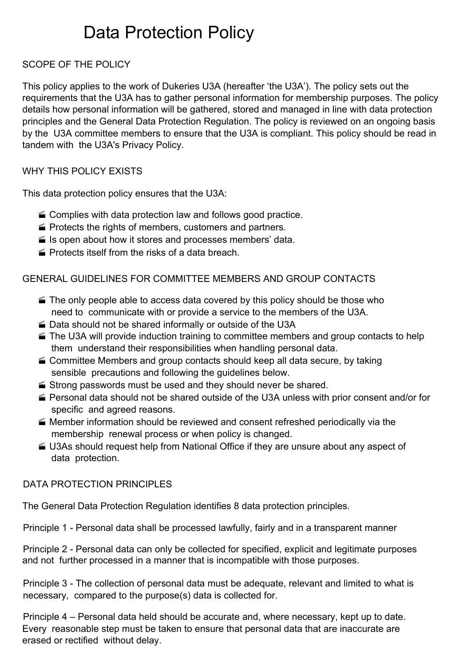# Data Protection Policy

## SCOPE OF THE POLICY

This policy applies to the work of Dukeries U3A (hereafter 'the U3A'). The policy sets out the requirements that the U3A has to gather personal information for membership purposes. The policy details how personal information will be gathered, stored and managed in line with data protection principles and the General Data Protection Regulation. The policy is reviewed on an ongoing basis by the U3A committee members to ensure that the U3A is compliant. This policy should be read in tandem with the U3A's Privacy Policy.

#### WHY THIS POLICY EXISTS

This data protection policy ensures that the U3A:

- Complies with data protection law and follows good practice.
- **Protects the rights of members, customers and partners.**
- $\blacktriangleright$  Is open about how it stores and processes members' data.
- **Protects itself from the risks of a data breach.**

#### GENERAL GUIDELINES FOR COMMITTEE MEMBERS AND GROUP CONTACTS

- $\blacktriangleright$  The only people able to access data covered by this policy should be those who need to communicate with or provide a service to the members of the U3A.
- Data should not be shared informally or outside of the U3A
- The U3A will provide induction training to committee members and group contacts to help them understand their responsibilities when handling personal data.
- Committee Members and group contacts should keep all data secure, by taking sensible precautions and following the guidelines below.
- $\blacktriangleright$  Strong passwords must be used and they should never be shared.
- Personal data should not be shared outside of the U3A unless with prior consent and/or for specific and agreed reasons.
- Member information should be reviewed and consent refreshed periodically via the membership renewal process or when policy is changed.
- U3As should request help from National Office if they are unsure about any aspect of data protection.

#### DATA PROTECTION PRINCIPLES

The General Data Protection Regulation identifies 8 data protection principles.

Principle 1 - Personal data shall be processed lawfully, fairly and in a transparent manner

Principle 2 - Personal data can only be collected for specified, explicit and legitimate purposes and not further processed in a manner that is incompatible with those purposes.

Principle 3 - The collection of personal data must be adequate, relevant and limited to what is necessary, compared to the purpose(s) data is collected for.

Principle 4 – Personal data held should be accurate and, where necessary, kept up to date. Every reasonable step must be taken to ensure that personal data that are inaccurate are erased or rectified without delay.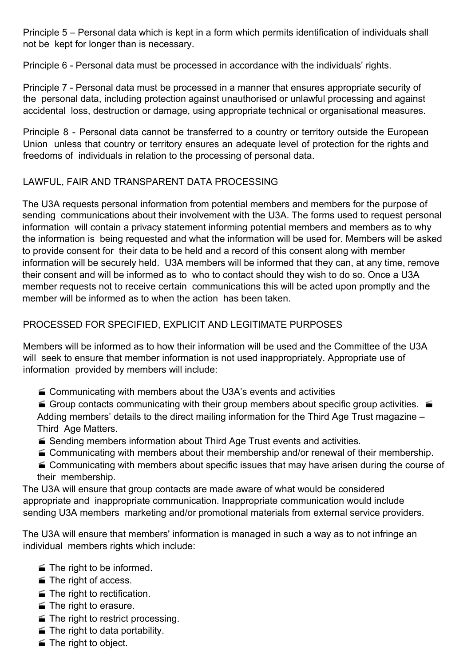Principle 5 – Personal data which is kept in a form which permits identification of individuals shall not be kept for longer than is necessary.

Principle 6 - Personal data must be processed in accordance with the individuals' rights.

Principle 7 - Personal data must be processed in a manner that ensures appropriate security of the personal data, including protection against unauthorised or unlawful processing and against accidental loss, destruction or damage, using appropriate technical or organisational measures.

Principle 8 - Personal data cannot be transferred to a country or territory outside the European Union unless that country or territory ensures an adequate level of protection for the rights and freedoms of individuals in relation to the processing of personal data.

## LAWFUL, FAIR AND TRANSPARENT DATA PROCESSING

The U3A requests personal information from potential members and members for the purpose of sending communications about their involvement with the U3A. The forms used to request personal information will contain a privacy statement informing potential members and members as to why the information is being requested and what the information will be used for. Members will be asked to provide consent for their data to be held and a record of this consent along with member information will be securely held. U3A members will be informed that they can, at any time, remove their consent and will be informed as to who to contact should they wish to do so. Once a U3A member requests not to receive certain communications this will be acted upon promptly and the member will be informed as to when the action has been taken.

# PROCESSED FOR SPECIFIED, EXPLICIT AND LEGITIMATE PURPOSES

Members will be informed as to how their information will be used and the Committee of the U3A will seek to ensure that member information is not used inappropriately. Appropriate use of information provided by members will include:

■ Communicating with members about the U3A's events and activities

Group contacts communicating with their group members about specific group activities.  $\blacksquare$ Adding members' details to the direct mailing information for the Third Age Trust magazine – Third Age Matters.

- Sending members information about Third Age Trust events and activities.
- Communicating with members about their membership and/or renewal of their membership.
- Communicating with members about specific issues that may have arisen during the course of their membership.

The U3A will ensure that group contacts are made aware of what would be considered appropriate and inappropriate communication. Inappropriate communication would include sending U3A members marketing and/or promotional materials from external service providers.

The U3A will ensure that members' information is managed in such a way as to not infringe an individual members rights which include:

- $\blacksquare$  The right to be informed.
- **■** The right of access.
- $\blacksquare$  The right to rectification.
- The right to erasure.
- **The right to restrict processing.**
- $\blacksquare$  The right to data portability.
- The right to object.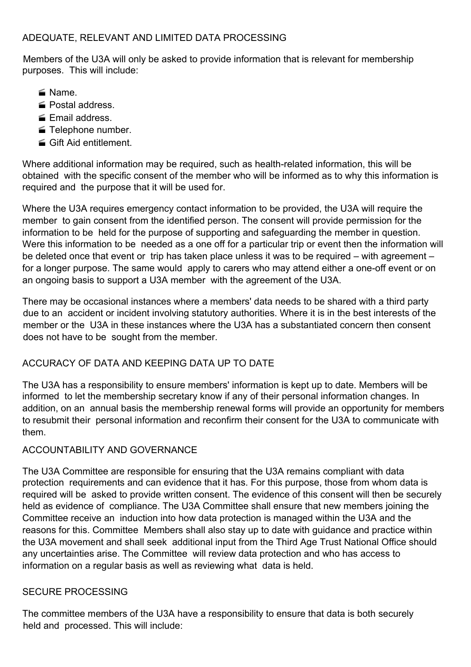#### ADEQUATE, RELEVANT AND LIMITED DATA PROCESSING

Members of the U3A will only be asked to provide information that is relevant for membership purposes. This will include:

- Name.
- Postal address.
- **Email address.**
- Felephone number.
- **Gift Aid entitlement.**

Where additional information may be required, such as health-related information, this will be obtained with the specific consent of the member who will be informed as to why this information is required and the purpose that it will be used for.

Where the U3A requires emergency contact information to be provided, the U3A will require the member to gain consent from the identified person. The consent will provide permission for the information to be held for the purpose of supporting and safeguarding the member in question. Were this information to be needed as a one off for a particular trip or event then the information will be deleted once that event or trip has taken place unless it was to be required – with agreement – for a longer purpose. The same would apply to carers who may attend either a one-off event or on an ongoing basis to support a U3A member with the agreement of the U3A.

There may be occasional instances where a members' data needs to be shared with a third party due to an accident or incident involving statutory authorities. Where it is in the best interests of the member or the U3A in these instances where the U3A has a substantiated concern then consent does not have to be sought from the member.

## ACCURACY OF DATA AND KEEPING DATA UP TO DATE

The U3A has a responsibility to ensure members' information is kept up to date. Members will be informed to let the membership secretary know if any of their personal information changes. In addition, on an annual basis the membership renewal forms will provide an opportunity for members to resubmit their personal information and reconfirm their consent for the U3A to communicate with them.

#### ACCOUNTABILITY AND GOVERNANCE

The U3A Committee are responsible for ensuring that the U3A remains compliant with data protection requirements and can evidence that it has. For this purpose, those from whom data is required will be asked to provide written consent. The evidence of this consent will then be securely held as evidence of compliance. The U3A Committee shall ensure that new members joining the Committee receive an induction into how data protection is managed within the U3A and the reasons for this. Committee Members shall also stay up to date with guidance and practice within the U3A movement and shall seek additional input from the Third Age Trust National Office should any uncertainties arise. The Committee will review data protection and who has access to information on a regular basis as well as reviewing what data is held.

#### SECURE PROCESSING

The committee members of the U3A have a responsibility to ensure that data is both securely held and processed. This will include: